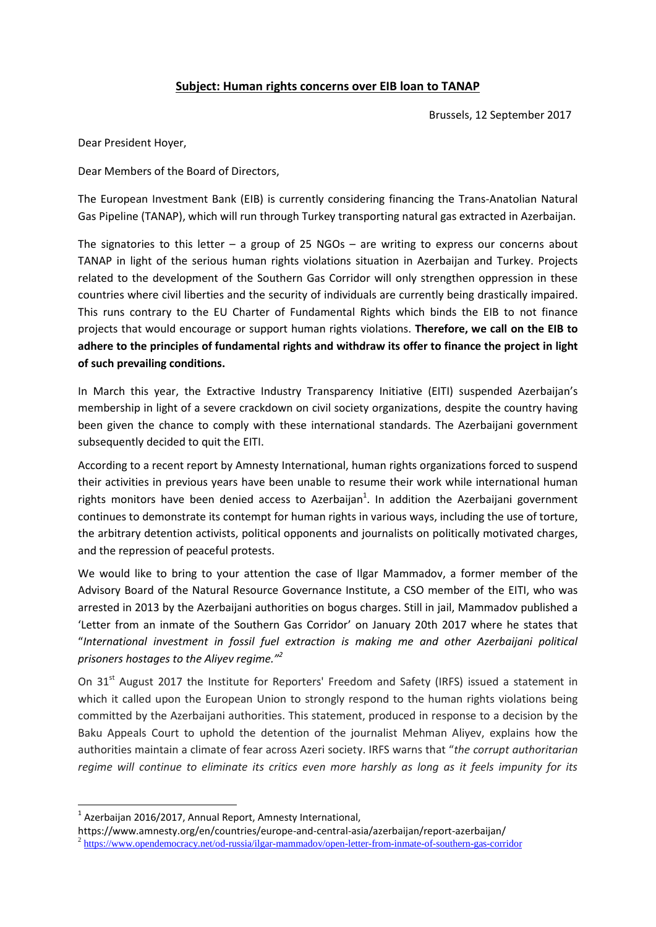## **Subject: Human rights concerns over EIB loan to TANAP**

Brussels, 12 September 2017

Dear President Hoyer,

Dear Members of the Board of Directors,

The European Investment Bank (EIB) is currently considering financing the Trans-Anatolian Natural Gas Pipeline (TANAP), which will run through Turkey transporting natural gas extracted in Azerbaijan.

The signatories to this letter – a group of 25 NGOs – are writing to express our concerns about TANAP in light of the serious human rights violations situation in Azerbaijan and Turkey. Projects related to the development of the Southern Gas Corridor will only strengthen oppression in these countries where civil liberties and the security of individuals are currently being drastically impaired. This runs contrary to the EU Charter of Fundamental Rights which binds the EIB to not finance projects that would encourage or support human rights violations. **Therefore, we call on the EIB to adhere to the principles of fundamental rights and withdraw its offer to finance the project in light of such prevailing conditions.**

In March this year, the Extractive Industry Transparency Initiative (EITI) suspended Azerbaijan's membership in light of a severe crackdown on civil society organizations, despite the country having been given the chance to comply with these international standards. The Azerbaijani government subsequently decided to quit the EITI.

According to a recent report by Amnesty International, human rights organizations forced to suspend their activities in previous years have been unable to resume their work while international human rights monitors have been denied access to Azerbaijan<sup>1</sup>. In addition the Azerbaijani government continues to demonstrate its contempt for human rights in various ways, including the use of torture, the arbitrary detention activists, political opponents and journalists on politically motivated charges, and the repression of peaceful protests.

We would like to bring to your attention the case of Ilgar Mammadov, a former member of the Advisory Board of the Natural Resource Governance Institute, a CSO member of the EITI, who was arrested in 2013 by the Azerbaijani authorities on bogus charges. Still in jail, Mammadov published a 'Letter from an inmate of the Southern Gas Corridor' on January 20th 2017 where he states that "*International investment in fossil fuel extraction is making me and other Azerbaijani political prisoners hostages to the Aliyev regime."<sup>2</sup>*

On 31<sup>st</sup> August 2017 the Institute for Reporters' Freedom and Safety (IRFS) issued a statement in which it called upon the European Union to strongly respond to the human rights violations being committed by the Azerbaijani authorities. This statement, produced in response to a decision by the Baku Appeals Court to uphold the detention of the journalist Mehman Aliyev, explains how the authorities maintain a climate of fear across Azeri society. IRFS warns that "*the corrupt authoritarian regime will continue to eliminate its critics even more harshly as long as it feels impunity for its* 

**.** 

 $<sup>1</sup>$  Azerbaijan 2016/2017, Annual Report, Amnesty International,</sup>

https://www.amnesty.org/en/countries/europe-and-central-asia/azerbaijan/report-azerbaijan/

<sup>&</sup>lt;sup>2</sup> <https://www.opendemocracy.net/od-russia/ilgar-mammadov/open-letter-from-inmate-of-southern-gas-corridor>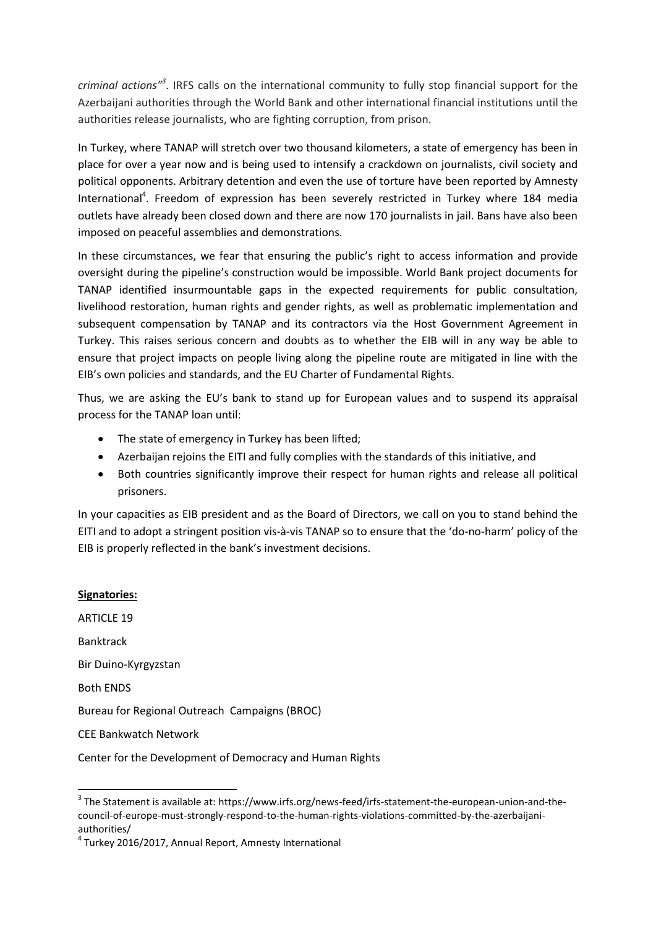*criminal actions" 3* . IRFS calls on the international community to fully stop financial support for the Azerbaijani authorities through the World Bank and other international financial institutions until the authorities release journalists, who are fighting corruption, from prison.

In Turkey, where TANAP will stretch over two thousand kilometers, a state of emergency has been in place for over a year now and is being used to intensify a crackdown on journalists, civil society and political opponents. Arbitrary detention and even the use of torture have been reported by Amnesty International<sup>4</sup>. Freedom of expression has been severely restricted in Turkey where 184 media outlets have already been closed down and there are now 170 journalists in jail. Bans have also been imposed on peaceful assemblies and demonstrations.

In these circumstances, we fear that ensuring the public's right to access information and provide oversight during the pipeline's construction would be impossible. World Bank project documents for TANAP identified insurmountable gaps in the expected requirements for public consultation, livelihood restoration, human rights and gender rights, as well as problematic implementation and subsequent compensation by TANAP and its contractors via the Host Government Agreement in Turkey. This raises serious concern and doubts as to whether the EIB will in any way be able to ensure that project impacts on people living along the pipeline route are mitigated in line with the EIB's own policies and standards, and the EU Charter of Fundamental Rights.

Thus, we are asking the EU's bank to stand up for European values and to suspend its appraisal process for the TANAP loan until:

- The state of emergency in Turkey has been lifted;
- Azerbaijan rejoins the EITI and fully complies with the standards of this initiative, and
- Both countries significantly improve their respect for human rights and release all political prisoners.

In your capacities as EIB president and as the Board of Directors, we call on you to stand behind the EITI and to adopt a stringent position vis-à-vis TANAP so to ensure that the 'do-no-harm' policy of the EIB is properly reflected in the bank's investment decisions.

**Signatories:** ARTICLE 19 Banktrack Bir Duino-Kyrgyzstan Both ENDS Bureau for Regional Outreach Campaigns (BROC) CEE Bankwatch Network Center for the Development of Democracy and Human Rights

authorities/

<sup>1</sup>  $^3$  The Statement is available at: https://www.irfs.org/news-feed/irfs-statement-the-european-union-and-thecouncil-of-europe-must-strongly-respond-to-the-human-rights-violations-committed-by-the-azerbaijani-

<sup>4</sup> Turkey 2016/2017, Annual Report, Amnesty International